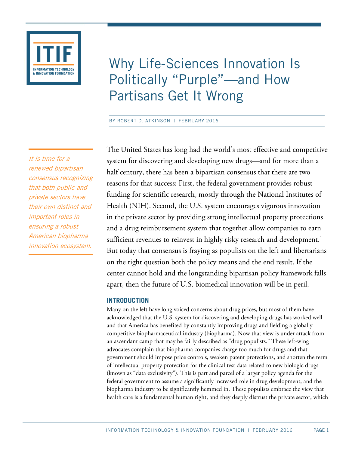

# Why Life-Sciences Innovation Is Politically "Purple"—and How Partisans Get It Wrong

BY ROBERT D. ATKINSON | FEBRUARY 2016

The United States has long had the world's most effective and competitive system for discovering and developing new drugs—and for more than a half century, there has been a bipartisan consensus that there are two reasons for that success: First, the federal government provides robust funding for scientific research, mostly through the National Institutes of Health (NIH). Second, the U.S. system encourages vigorous innovation in the private sector by providing strong intellectual property protections and a drug reimbursement system that together allow companies to earn sufficient revenues to reinvest in highly risky research and development. [1](#page-19-0) But today that consensus is fraying as populists on the left and libertarians on the right question both the policy means and the end result. If the center cannot hold and the longstanding bipartisan policy framework falls apart, then the future of U.S. biomedical innovation will be in peril.

# **INTRODUCTION**

Many on the left have long voiced concerns about drug prices, but most of them have acknowledged that the U.S. system for discovering and developing drugs has worked well and that America has benefited by constantly improving drugs and fielding a globally competitive biopharmaceutical industry (biopharma). Now that view is under attack from an ascendant camp that may be fairly described as "drug populists." These left-wing advocates complain that biopharma companies charge too much for drugs and that government should impose price controls, weaken patent protections, and shorten the term of intellectual property protection for the clinical test data related to new biologic drugs (known as "data exclusivity"). This is part and parcel of a larger policy agenda for the federal government to assume a significantly increased role in drug development, and the biopharma industry to be significantly hemmed in. These populists embrace the view that health care is a fundamental human right, and they deeply distrust the private sector, which

It is time for a renewed bipartisan consensus recognizing that both public and private sectors have their own distinct and important roles in ensuring a robust American biopharma innovation ecosystem.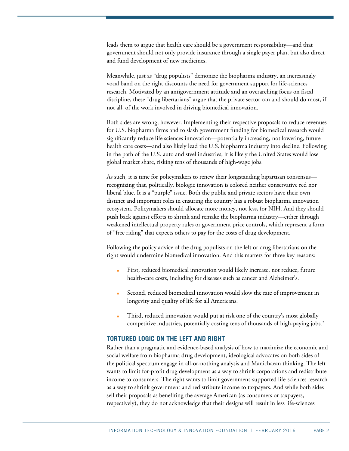leads them to argue that health care should be a government responsibility—and that government should not only provide insurance through a single payer plan, but also direct and fund development of new medicines.

Meanwhile, just as "drug populists" demonize the biopharma industry, an increasingly vocal band on the right discounts the need for government support for life-sciences research. Motivated by an antigovernment attitude and an overarching focus on fiscal discipline, these "drug libertarians" argue that the private sector can and should do most, if not all, of the work involved in driving biomedical innovation.

Both sides are wrong, however. Implementing their respective proposals to reduce revenues for U.S. biopharma firms and to slash government funding for biomedical research would significantly reduce life sciences innovation—potentially increasing, not lowering, future health care costs—and also likely lead the U.S. biopharma industry into decline. Following in the path of the U.S. auto and steel industries, it is likely the United States would lose global market share, risking tens of thousands of high-wage jobs.

As such, it is time for policymakers to renew their longstanding bipartisan consensus recognizing that, politically, biologic innovation is colored neither conservative red nor liberal blue. It is a "purple" issue. Both the public and private sectors have their own distinct and important roles in ensuring the country has a robust biopharma innovation ecosystem. Policymakers should allocate more money, not less, for NIH. And they should push back against efforts to shrink and remake the biopharma industry—either through weakened intellectual property rules or government price controls, which represent a form of "free riding" that expects others to pay for the costs of drug development.

Following the policy advice of the drug populists on the left or drug libertarians on the right would undermine biomedical innovation. And this matters for three key reasons:

- First, reduced biomedical innovation would likely increase, not reduce, future health-care costs, including for diseases such as cancer and Alzheimer's.
- Second, reduced biomedical innovation would slow the rate of improvement in longevity and quality of life for all Americans.
- Third, reduced innovation would put at risk one of the country's most globally competitive industries, potentially costing tens of thousands of high-paying jobs.<sup>[2](#page-19-1)</sup>

# **TORTURED LOGIC ON THE LEFT AND RIGHT**

Rather than a pragmatic and evidence-based analysis of how to maximize the economic and social welfare from biopharma drug development, ideological advocates on both sides of the political spectrum engage in all-or-nothing analysis and Manichaean thinking. The left wants to limit for-profit drug development as a way to shrink corporations and redistribute income to consumers. The right wants to limit government-supported life-sciences research as a way to shrink government and redistribute income to taxpayers. And while both sides sell their proposals as benefiting the average American (as consumers or taxpayers, respectively), they do not acknowledge that their designs will result in less life-sciences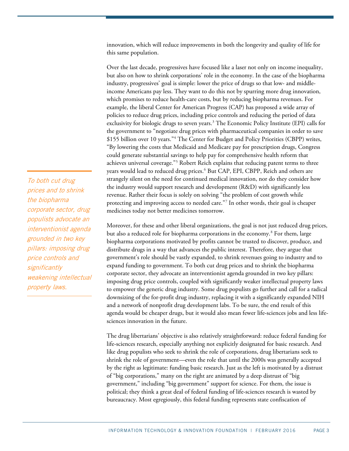innovation, which will reduce improvements in both the longevity and quality of life for this same population.

Over the last decade, progressives have focused like a laser not only on income inequality, but also on how to shrink corporations' role in the economy. In the case of the biopharma industry, progressives' goal is simple: lower the price of drugs so that low- and middleincome Americans pay less. They want to do this not by spurring more drug innovation, which promises to reduce health-care costs, but by reducing biopharma revenues. For example, the liberal Center for American Progress (CAP) has proposed a wide array of policies to reduce drug prices, including price controls and reducing the period of data exclusivity for biologic drugs to seven years.<sup>[3](#page-19-2)</sup> The Economic Policy Institute (EPI) calls for the government to "negotiate drug prices with pharmaceutical companies in order to save \$155 billion over 10 years."[4](#page-19-3) The Center for Budget and Policy Priorities (CBPP) writes, "By lowering the costs that Medicaid and Medicare pay for prescription drugs, Congress could generate substantial savings to help pay for comprehensive health reform that achieves universal coverage."[5](#page-19-4) Robert Reich explains that reducing patent terms to three years would lead to reduced drug prices.<sup>[6](#page-19-5)</sup> But CAP, EPI, CBPP, Reich and others are strangely silent on the need for continued medical innovation, nor do they consider how the industry would support research and development (R&D) with significantly less revenue. Rather their focus is solely on solving "the problem of cost growth while protecting and improving access to needed care."[7](#page-19-6) In other words, their goal is cheaper medicines today not better medicines tomorrow.

Moreover, for these and other liberal organizations, the goal is not just reduced drug prices, but also a reduced role for biopharma corporations in the economy.<sup>[8](#page-19-7)</sup> For them, large biopharma corporations motivated by profits cannot be trusted to discover, produce, and distribute drugs in a way that advances the public interest. Therefore, they argue that government's role should be vastly expanded, to shrink revenues going to industry and to expand funding to government. To both cut drug prices and to shrink the biopharma corporate sector, they advocate an interventionist agenda grounded in two key pillars: imposing drug price controls, coupled with significantly weaker intellectual property laws to empower the generic drug industry. Some drug populists go further and call for a radical downsizing of the for-profit drug industry, replacing it with a significantly expanded NIH and a network of nonprofit drug development labs. To be sure, the end result of this agenda would be cheaper drugs, but it would also mean fewer life-sciences jobs and less lifesciences innovation in the future.

The drug libertarians' objective is also relatively straightforward: reduce federal funding for life-sciences research, especially anything not explicitly designated for basic research. And like drug populists who seek to shrink the role of corporations, drug libertarians seek to shrink the role of government—even the role that until the 2000s was generally accepted by the right as legitimate: funding basic research. Just as the left is motivated by a distrust of "big corporations," many on the right are animated by a deep distrust of "big government," including "big government" support for science. For them, the issue is political; they think a great deal of federal funding of life-sciences research is wasted by bureaucracy. Most egregiously, this federal funding represents state confiscation of

To both cut drug prices and to shrink the biopharma corporate sector, drug populists advocate an interventionist agenda grounded in two key pillars: imposing drug price controls and **significantly** weakening intellectual property laws.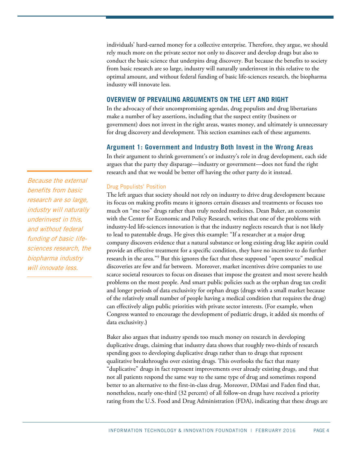individuals' hard-earned money for a collective enterprise. Therefore, they argue, we should rely much more on the private sector not only to discover and develop drugs but also to conduct the basic science that underpins drug discovery. But because the benefits to society from basic research are so large, industry will naturally underinvest in this relative to the optimal amount, and without federal funding of basic life-sciences research, the biopharma industry will innovate less.

# **OVERVIEW OF PREVAILING ARGUMENTS ON THE LEFT AND RIGHT**

In the advocacy of their uncompromising agendas, drug populists and drug libertarians make a number of key assertions, including that the suspect entity (business or government) does not invest in the right areas, wastes money, and ultimately is unnecessary for drug discovery and development. This section examines each of these arguments.

# **Argument 1: Government and Industry Both Invest in the Wrong Areas**

In their argument to shrink government's or industry's role in drug development, each side argues that the party they disparage—industry or government—does not fund the right research and that we would be better off having the other party do it instead.

#### Drug Populists' Position

The left argues that society should not rely on industry to drive drug development because its focus on making profits means it ignores certain diseases and treatments or focuses too much on "me too" drugs rather than truly needed medicines. Dean Baker, an economist with the Center for Economic and Policy Research, writes that one of the problems with industry-led life-sciences innovation is that the industry neglects research that is not likely to lead to patentable drugs. He gives this example: "If a researcher at a major drug company discovers evidence that a natural substance or long existing drug like aspirin could provide an effective treatment for a specific condition, they have no incentive to do further research in the area."[9](#page-19-8) But this ignores the fact that these supposed "open source" medical discoveries are few and far between. Moreover, market incentives drive companies to use scarce societal resources to focus on diseases that impose the greatest and most severe health problems on the most people. And smart public policies such as the orphan drug tax credit and longer periods of data exclusivity for orphan drugs (drugs with a small market because of the relatively small number of people having a medical condition that requires the drug) can effectively align public priorities with private sector interests. (For example, when Congress wanted to encourage the development of pediatric drugs, it added six months of data exclusivity.)

Baker also argues that industry spends too much money on research in developing duplicative drugs, claiming that industry data shows that roughly two-thirds of research spending goes to developing duplicative drugs rather than to drugs that represent qualitative breakthroughs over existing drugs. This overlooks the fact that many "duplicative" drugs in fact represent improvements over already existing drugs, and that not all patients respond the same way to the same type of drug and sometimes respond better to an alternative to the first-in-class drug. Moreover, DiMasi and Faden find that, nonetheless, nearly one-third (32 percent) of all follow-on drugs have received a priority rating from the U.S. Food and Drug Administration (FDA), indicating that these drugs are

Because the external benefits from basic research are so large, industry will naturally underinvest in this, and without federal funding of basic lifesciences research, the biopharma industry will innovate less.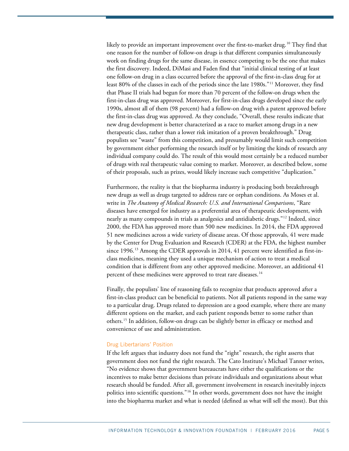likely to provide an important improvement over the first-to-market drug.<sup>[10](#page-19-9)</sup> They find that one reason for the number of follow-on drugs is that different companies simultaneously work on finding drugs for the same disease, in essence competing to be the one that makes the first discovery. Indeed, DiMasi and Faden find that "initial clinical testing of at least one follow-on drug in a class occurred before the approval of the first-in-class drug for at least 80% of the classes in each of the periods since the late 1980s."[11](#page-19-10) Moreover, they find that Phase II trials had begun for more than 70 percent of the follow-on drugs when the first-in-class drug was approved. Moreover, for first-in-class drugs developed since the early 1990s, almost all of them (98 percent) had a follow-on drug with a patent approved before the first-in-class drug was approved. As they conclude, "Overall, these results indicate that new drug development is better characterized as a race to market among drugs in a new therapeutic class, rather than a lower risk imitation of a proven breakthrough." Drug populists see "waste" from this competition, and presumably would limit such competition by government either performing the research itself or by limiting the kinds of research any individual company could do. The result of this would most certainly be a reduced number of drugs with real therapeutic value coming to market. Moreover, as described below, some of their proposals, such as prizes, would likely increase such competitive "duplication."

Furthermore, the reality is that the biopharma industry is producing both breakthrough new drugs as well as drugs targeted to address rare or orphan conditions. As Moses et al. write in *The Anatomy of Medical Research: U.S. and International Comparisons*, "Rare diseases have emerged for industry as a preferential area of therapeutic development, with nearly as many compounds in trials as analgesics and antidiabetic drugs."[12](#page-19-11) Indeed, since 2000, the FDA has approved more than 500 new medicines. In 2014, the FDA approved 51 new medicines across a wide variety of disease areas. Of those approvals, 41 were made by the Center for Drug Evaluation and Research (CDER) at the FDA, the highest number since  $1996$ .<sup>[13](#page-19-12)</sup> Among the CDER approvals in 2014, 41 percent were identified as first-inclass medicines, meaning they used a unique mechanism of action to treat a medical condition that is different from any other approved medicine. Moreover, an additional 41 percent of these medicines were approved to treat rare diseases.<sup>[14](#page-19-13)</sup>

Finally, the populists' line of reasoning fails to recognize that products approved after a first-in-class product can be beneficial to patients. Not all patients respond in the same way to a particular drug. Drugs related to depression are a good example, where there are many different options on the market, and each patient responds better to some rather than others.[15](#page-19-14) In addition, follow-on drugs can be slightly better in efficacy or method and convenience of use and administration.

## Drug Libertarians' Position

If the left argues that industry does not fund the "right" research, the right asserts that government does not fund the right research. The Cato Institute's Michael Tanner writes, "No evidence shows that government bureaucrats have either the qualifications or the incentives to make better decisions than private individuals and organizations about what research should be funded. After all, government involvement in research inevitably injects politics into scientific questions."[16](#page-19-15) In other words, government does not have the insight into the biopharma market and what is needed (defined as what will sell the most). But this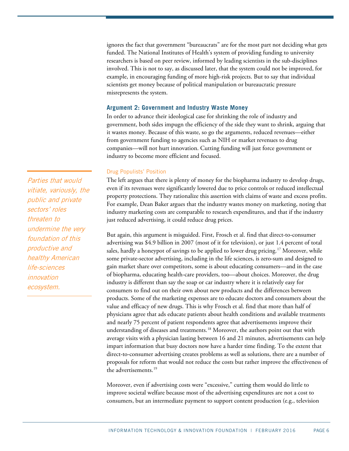ignores the fact that government "bureaucrats" are for the most part not deciding what gets funded. The National Institutes of Health's system of providing funding to university researchers is based on peer review, informed by leading scientists in the sub-disciplines involved. This is not to say, as discussed later, that the system could not be improved, for example, in encouraging funding of more high-risk projects. But to say that individual scientists get money because of political manipulation or bureaucratic pressure misrepresents the system.

## **Argument 2: Government and Industry Waste Money**

In order to advance their ideological case for shrinking the role of industry and government, both sides impugn the efficiency of the side they want to shrink, arguing that it wastes money. Because of this waste, so go the arguments, reduced revenues—either from government funding to agencies such as NIH or market revenues to drug companies—will not hurt innovation. Cutting funding will just force government or industry to become more efficient and focused.

#### Drug Populists' Position

The left argues that there is plenty of money for the biopharma industry to develop drugs, even if its revenues were significantly lowered due to price controls or reduced intellectual property protections. They rationalize this assertion with claims of waste and excess profits. For example, Dean Baker argues that the industry wastes money on marketing, noting that industry marketing costs are comparable to research expenditures, and that if the industry just reduced advertising, it could reduce drug prices.

But again, this argument is misguided. First, Frosch et al. find that direct-to-consumer advertising was \$4.9 billion in 2007 (most of it for television), or just 1.4 percent of total sales, hardly a honeypot of savings to be applied to lower drug pricing.<sup>[17](#page-19-16)</sup> Moreover, while some private-sector advertising, including in the life sciences, is zero-sum and designed to gain market share over competitors, some is about educating consumers—and in the case of biopharma, educating health-care providers, too—about choices. Moreover, the drug industry is different than say the soap or car industry where it is relatively easy for consumers to find out on their own about new products and the differences between products. Some of the marketing expenses are to educate doctors and consumers about the value and efficacy of new drugs. This is why Frosch et al. find that more than half of physicians agree that ads educate patients about health conditions and available treatments and nearly 75 percent of patient respondents agree that advertisements improve their understanding of diseases and treatments.<sup>[18](#page-19-17)</sup> Moreover, the authors point out that with average visits with a physician lasting between 16 and 21 minutes, advertisements can help impart information that busy doctors now have a harder time finding. To the extent that direct-to-consumer advertising creates problems as well as solutions, there are a number of proposals for reform that would not reduce the costs but rather improve the effectiveness of the advertisements. [19](#page-19-18)

Moreover, even if advertising costs were "excessive," cutting them would do little to improve societal welfare because most of the advertising expenditures are not a cost to consumers, but an intermediate payment to support content production (e.g., television

Parties that would vitiate, variously, the public and private sectors' roles threaten to undermine the very foundation of this productive and healthy American life-sciences innovation ecosystem.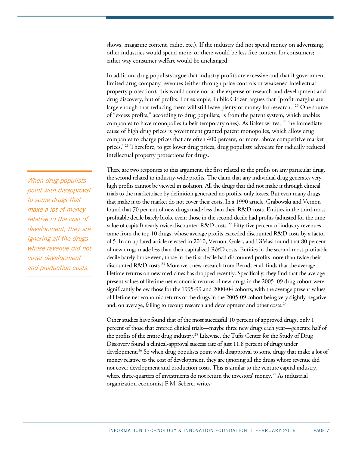shows, magazine content, radio, etc.). If the industry did not spend money on advertising, other industries would spend more, or there would be less free content for consumers; either way consumer welfare would be unchanged.

In addition, drug populists argue that industry profits are excessive and that if government limited drug company revenues (either through price controls or weakened intellectual property protection), this would come not at the expense of research and development and drug discovery, but of profits. For example, Public Citizen argues that "profit margins are large enough that reducing them will still leave plenty of money for research."[20](#page-19-19) One source of "excess profits," according to drug populists, is from the patent system, which enables companies to have monopolies (albeit temporary ones). As Baker writes, "The immediate cause of high drug prices is government granted patent monopolies, which allow drug companies to charge prices that are often 400 percent, or more, above competitive market prices."<sup>[21](#page-20-0)</sup> Therefore, to get lower drug prices, drug populists advocate for radically reduced intellectual property protections for drugs.

There are two responses to this argument, the first related to the profits on any particular drug, the second related to industry-wide profits. The claim that any individual drug generates very high profits cannot be viewed in isolation. All the drugs that did not make it through clinical trials to the marketplace by definition generated no profits, only losses. But even many drugs that make it to the market do not cover their costs. In a 1990 article, Grabowski and Vernon found that 70 percent of new drugs made less than their R&D costs. Entities in the third-mostprofitable decile barely broke even; those in the second decile had profits (adjusted for the time value of capital) nearly twice discounted  $R&D$  costs.<sup>[22](#page-20-1)</sup> Fifty-five percent of industry revenues came from the top 10 drugs, whose average profits exceeded discounted R&D costs by a factor of 5. In an updated article released in 2010, Vernon, Golec, and DiMasi found that 80 percent of new drugs made less than their capitalized R&D costs. Entities in the second-most-profitable decile barely broke even; those in the first decile had discounted profits more than twice their discounted R&D costs.<sup>[23](#page-20-2)</sup> Moreover, new research from Berndt et al. finds that the average lifetime returns on new medicines has dropped recently. Specifically, they find that the average present values of lifetime net economic returns of new drugs in the 2005–09 drug cohort were significantly below those for the 1995-99 and 2000-04 cohorts, with the average present values of lifetime net economic returns of the drugs in the 2005-09 cohort being very slightly negative and, on average, failing to recoup research and development and other costs.<sup>[24](#page-20-3)</sup>

Other studies have found that of the most successful 10 percent of approved drugs, only 1 percent of those that entered clinical trials—maybe three new drugs each year—generate half of the profits of the entire drug industry.[25](#page-20-4) Likewise, the Tufts Center for the Study of Drug Discovery found a clinical-approval success rate of just 11.8 percent of drugs under development.<sup>[26](#page-20-5)</sup> So when drug populists point with disapproval to some drugs that make a lot of money relative to the cost of development, they are ignoring all the drugs whose revenue did not cover development and production costs. This is similar to the venture capital industry, where three-quarters of investments do not return the investors' money.<sup>[27](#page-20-6)</sup> As industrial organization economist F.M. Scherer writes:

When drug populists point with disapproval to some drugs that make a lot of money relative to the cost of development, they are ignoring all the drugs whose revenue did not cover development and production costs.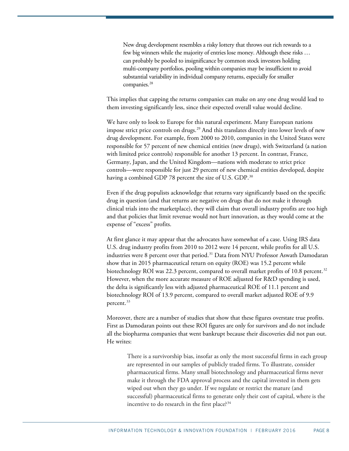New drug development resembles a risky lottery that throws out rich rewards to a few big winners while the majority of entries lose money. Although these risks … can probably be pooled to insignificance by common stock investors holding multi-company portfolios, pooling within companies may be insufficient to avoid substantial variability in individual company returns, especially for smaller companies.<sup>[28](#page-20-7)</sup>

This implies that capping the returns companies can make on any one drug would lead to them investing significantly less, since their expected overall value would decline.

We have only to look to Europe for this natural experiment. Many European nations impose strict price controls on drugs.<sup>[29](#page-20-8)</sup> And this translates directly into lower levels of new drug development. For example, from 2000 to 2010, companies in the United States were responsible for 57 percent of new chemical entities (new drugs), with Switzerland (a nation with limited price controls) responsible for another 13 percent. In contrast, France, Germany, Japan, and the United Kingdom—nations with moderate to strict price controls—were responsible for just 29 percent of new chemical entities developed, despite having a combined GDP 78 percent the size of U.S. GDP. $^{\rm 30}$  $^{\rm 30}$  $^{\rm 30}$ 

Even if the drug populists acknowledge that returns vary significantly based on the specific drug in question (and that returns are negative on drugs that do not make it through clinical trials into the marketplace), they will claim that overall industry profits are too high and that policies that limit revenue would not hurt innovation, as they would come at the expense of "excess" profits.

At first glance it may appear that the advocates have somewhat of a case. Using IRS data U.S. drug industry profits from 2010 to 2012 were 14 percent, while profits for all U.S. industries were 8 percent over that period.<sup>[31](#page-20-10)</sup> Data from NYU Professor Aswath Damodaran show that in 2015 pharmaceutical return on equity (ROE) was 15.2 percent while biotechnology ROI was 22.3 percent, compared to overall market profits of 10.8 percent.<sup>[32](#page-20-11)</sup> However, when the more accurate measure of ROE adjusted for R&D spending is used, the delta is significantly less with adjusted pharmaceutical ROE of 11.1 percent and biotechnology ROI of 13.9 percent, compared to overall market adjusted ROE of 9.9 percent.<sup>[33](#page-20-12)</sup>

Moreover, there are a number of studies that show that these figures overstate true profits. First as Damodaran points out these ROI figures are only for survivors and do not include all the biopharma companies that went bankrupt because their discoveries did not pan out. He writes:

There is a survivorship bias, insofar as only the most successful firms in each group are represented in our samples of publicly traded firms. To illustrate, consider pharmaceutical firms. Many small biotechnology and pharmaceutical firms never make it through the FDA approval process and the capital invested in them gets wiped out when they go under. If we regulate or restrict the mature (and successful) pharmaceutical firms to generate only their cost of capital, where is the incentive to do research in the first place? $34$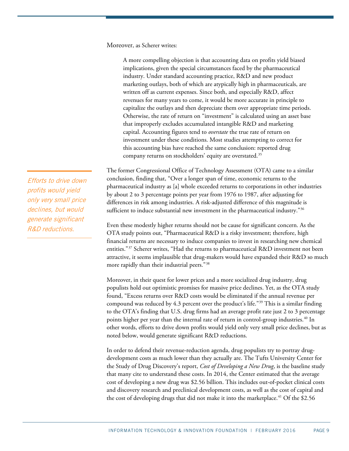Moreover, as Scherer writes:

A more compelling objection is that accounting data on profits yield biased implications, given the special circumstances faced by the pharmaceutical industry. Under standard accounting practice, R&D and new product marketing outlays, both of which are atypically high in pharmaceuticals, are written off as current expenses. Since both, and especially R&D, affect revenues for many years to come, it would be more accurate in principle to capitalize the outlays and then depreciate them over appropriate time periods. Otherwise, the rate of return on "investment" is calculated using an asset base that improperly excludes accumulated intangible R&D and marketing capital. Accounting figures tend to *overstate* the true rate of return on investment under these conditions. Most studies attempting to correct for this accounting bias have reached the same conclusion: reported drug company returns on stockholders' equity are overstated.[35](#page-20-14)

The former Congressional Office of Technology Assessment (OTA) came to a similar conclusion, finding that, "Over a longer span of time, economic returns to the pharmaceutical industry as [a] whole exceeded returns to corporations in other industries by about 2 to 3 percentage points per year from 1976 to 1987, after adjusting for differences in risk among industries. A risk-adjusted difference of this magnitude is sufficient to induce substantial new investment in the pharmaceutical industry."<sup>[36](#page-20-15)</sup>

Even these modestly higher returns should not be cause for significant concern. As the OTA study points out, "Pharmaceutical R&D is a risky investment; therefore, high financial returns are necessary to induce companies to invest in researching new chemical entities."[37](#page-20-16) Scherer writes, "Had the returns to pharmaceutical R&D investment not been attractive, it seems implausible that drug-makers would have expanded their R&D so much more rapidly than their industrial peers."<sup>[38](#page-20-17)</sup>

Moreover, in their quest for lower prices and a more socialized drug industry, drug populists hold out optimistic promises for massive price declines. Yet, as the OTA study found, "Excess returns over R&D costs would be eliminated if the annual revenue per compound was reduced by 4.3 percent over the product's life."[39](#page-20-18) This is a similar finding to the OTA's finding that U.S. drug firms had an average profit rate just 2 to 3 percentage points higher per year than the internal rate of return in control-group industries.<sup>[40](#page-20-19)</sup> In other words, efforts to drive down profits would yield only very small price declines, but as noted below, would generate significant R&D reductions.

In order to defend their revenue-reduction agenda, drug populists try to portray drugdevelopment costs as much lower than they actually are. The Tufts University Center for the Study of Drug Discovery's report, *Cost of Developing a New Drug*, is the baseline study that many cite to understand these costs. In 2014, the Center estimated that the average cost of developing a new drug was \$2.56 billion. This includes out-of-pocket clinical costs and discovery research and preclinical development costs, as well as the cost of capital and the cost of developing drugs that did not make it into the marketplace.<sup>[41](#page-20-20)</sup> Of the \$2.56

Efforts to drive down profits would yield only very small price declines, but would generate significant R&D reductions.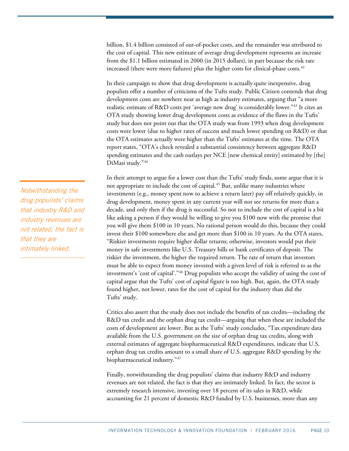billion, \$1.4 billion consisted of out-of-pocket costs, and the remainder was attributed to the cost of capital. This new estimate of average drug development represents an increase from the \$1.1 billion estimated in 2000 (in 2015 dollars), in part because the risk rate increased (there were more failures) plus the higher costs for clinical-phase costs.<sup>[42](#page-20-21)</sup>

In their campaign to show that drug development is actually quite inexpensive, drug populists offer a number of criticisms of the Tufts study. Public Citizen contends that drug development costs are nowhere near as high as industry estimates, arguing that "a more realistic estimate of R&D costs per 'average new drug' is considerably lower."[43](#page-20-22) It cites an OTA study showing lower drug development costs as evidence of the flaws in the Tufts' study but does not point out that the OTA study was from 1993 when drug development costs were lower (due to higher rates of success and much lower spending on R&D) or that the OTA estimates actually were higher than the Tufts' estimates at the time. The OTA report states, "OTA's check revealed a substantial consistency between aggregate R&D spending estimates and the cash outlays per NCE [new chemical entity] estimated by [the] DiMasi study."[44](#page-20-23)

In their attempt to argue for a lower cost than the Tufts' study finds, some argue that it is not appropriate to include the cost of capital.<sup>45</sup> But, unlike many industries where investments (e.g., money spent now to achieve a return later) pay off relatively quickly, in drug development, money spent in any current year will not see returns for more than a decade, and only then if the drug is successful. So not to include the cost of capital is a bit like asking a person if they would be willing to give you \$100 now with the promise that you will give them \$100 in 10 years. No rational person would do this, because they could invest their \$100 somewhere else and get more than \$100 in 10 years. As the OTA states, "Riskier investments require higher dollar returns; otherwise, investors would put their money in safe investments like U.S. Treasury bills or bank certificates of deposit. The riskier the investment, the higher the required return. The rate of return that investors must be able to expect from money invested with a given level of risk is referred to as the investment's 'cost of capital'."[46](#page-21-1) Drug populists who accept the validity of using the cost of capital argue that the Tufts' cost of capital figure is too high. But, again, the OTA study found higher, not lower, rates for the cost of capital for the industry than did the Tufts' study.

Critics also assert that the study does not include the benefits of tax credits—including the R&D tax credit and the orphan drug tax credit—arguing that when these are included the costs of development are lower. But as the Tufts' study concludes, "Tax expenditure data available from the U.S. government on the size of orphan drug tax credits, along with external estimates of aggregate biopharmaceutical R&D expenditures, indicate that U.S. orphan drug tax credits amount to a small share of U.S. aggregate R&D spending by the biopharmaceutical industry."[47](#page-21-2)

Finally, notwithstanding the drug populists' claims that industry R&D and industry revenues are not related, the fact is that they are intimately linked. In fact, the sector is extremely research intensive, investing over 18 percent of its sales in R&D, while accounting for 21 percent of domestic R&D funded by U.S. businesses, more than any

Notwithstanding the drug populists' claims that industry R&D and industry revenues are not related, the fact is that they are intimately linked.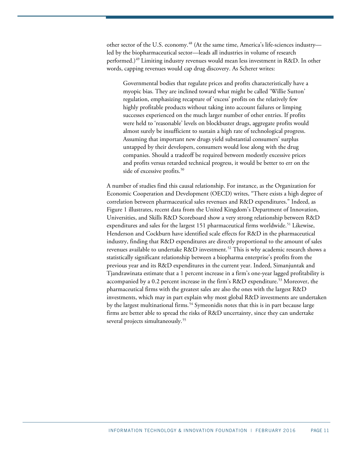other sector of the U.S. economy.<sup>[48](#page-21-3)</sup> (At the same time, America's life-sciences industry led by the biopharmaceutical sector—leads all industries in volume of research performed.) [49](#page-21-4) Limiting industry revenues would mean less investment in R&D. In other words, capping revenues would cap drug discovery. As Scherer writes:

Governmental bodies that regulate prices and profits characteristically have a myopic bias. They are inclined toward what might be called 'Willie Sutton' regulation, emphasizing recapture of 'excess' profits on the relatively few highly profitable products without taking into account failures or limping successes experienced on the much larger number of other entries. If profits were held to 'reasonable' levels on blockbuster drugs, aggregate profits would almost surely be insufficient to sustain a high rate of technological progress. Assuming that important new drugs yield substantial consumers' surplus untapped by their developers, consumers would lose along with the drug companies. Should a tradeoff be required between modestly excessive prices and profits versus retarded technical progress, it would be better to err on the side of excessive profits.<sup>[50](#page-21-5)</sup>

A number of studies find this causal relationship. For instance, as the Organization for Economic Cooperation and Development (OECD) writes, "There exists a high degree of correlation between pharmaceutical sales revenues and R&D expenditures." Indeed, as Figure 1 illustrates, recent data from the United Kingdom's Department of Innovation, Universities, and Skills R&D Scoreboard show a very strong relationship between R&D expenditures and sales for the largest 1[51](#page-21-6) pharmaceutical firms worldwide.<sup>51</sup> Likewise, Henderson and Cockburn have identified scale effects for R&D in the pharmaceutical industry, finding that R&D expenditures are directly proportional to the amount of sales revenues available to undertake R&D investment.<sup>52</sup> This is why academic research shows a statistically significant relationship between a biopharma enterprise's profits from the previous year and its R&D expenditures in the current year. Indeed, Simanjuntak and Tjandrawinata estimate that a 1 percent increase in a firm's one-year lagged profitability is accompanied by a 0.2 percent increase in the firm's R&D expenditure.<sup>[53](#page-21-8)</sup> Moreover, the pharmaceutical firms with the greatest sales are also the ones with the largest R&D investments, which may in part explain why most global R&D investments are undertaken by the largest multinational firms.<sup>[54](#page-21-9)</sup> Symeonidis notes that this is in part because large firms are better able to spread the risks of R&D uncertainty, since they can undertake several projects simultaneously.<sup>[55](#page-21-10)</sup>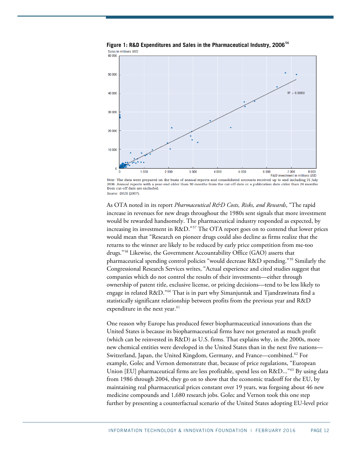

**Figure 1: R&D Expenditures and Sales in the Pharmaceutical Industry, 2006[56](#page-21-11)** Sales in millions USD

As OTA noted in its report *Pharmaceutical R&D Costs, Risks, and Rewards*, "The rapid increase in revenues for new drugs throughout the 1980s sent signals that more investment would be rewarded handsomely. The pharmaceutical industry responded as expected, by increasing its investment in R&D."<sup>[57](#page-21-12)</sup> The OTA report goes on to contend that lower prices would mean that "Research on pioneer drugs could also decline as firms realize that the returns to the winner are likely to be reduced by early price competition from me-too drugs."[58](#page-21-13) Likewise, the Government Accountability Office (GAO) asserts that pharmaceutical spending control policies "would decrease R&D spending."[59](#page-21-14) Similarly the Congressional Research Services writes, "Actual experience and cited studies suggest that companies which do not control the results of their investments—either through ownership of patent title, exclusive license, or pricing decisions—tend to be less likely to engage in related R&D."[60](#page-21-15) That is in part why Simanjuntak and Tjandrawinata find a statistically significant relationship between profits from the previous year and R&D expenditure in the next year. $61$ 

One reason why Europe has produced fewer biopharmaceutical innovations than the United States is because its biopharmaceutical firms have not generated as much profit (which can be reinvested in R&D) as U.S. firms. That explains why, in the 2000s, more new chemical entities were developed in the United States than in the next five nations— Switzerland, Japan, the United Kingdom, Germany, and France—combined.<sup>[62](#page-21-17)</sup> For example, Golec and Vernon demonstrate that, because of price regulations, "European Union [EU] pharmaceutical firms are less profitable, spend less on R&D..."<sup>[63](#page-21-18)</sup> By using data from 1986 through 2004, they go on to show that the economic tradeoff for the EU, by maintaining real pharmaceutical prices constant over 19 years, was forgoing about 46 new medicine compounds and 1,680 research jobs. Golec and Vernon took this one step further by presenting a counterfactual scenario of the United States adopting EU-level price

Note: The data were prepared on the basis of annual reports and consolidated accounts received up to and including 31 July 2006. Annual reports with a year-end older than 30 months from the cut-off date or a publication date older than 24 months from cut-off date are excluded. Source: DIUS (2007)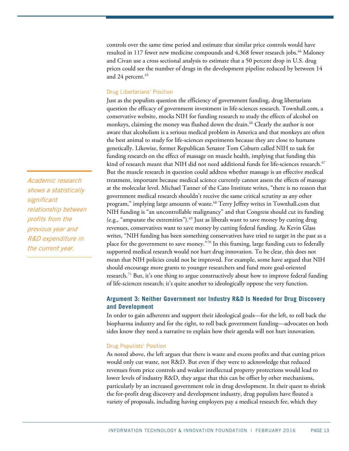controls over the same time period and estimate that similar price controls would have resulted in 117 fewer new medicine compounds and 4,368 fewer research jobs.<sup>[64](#page-21-19)</sup> Maloney and Civan use a cross sectional analysis to estimate that a 50 percent drop in U.S. drug prices could see the number of drugs in the development pipeline reduced by between 14 and 24 percent. [65](#page-21-20)

#### Drug Libertarians' Position

Just as the populists question the efficiency of government funding, drug libertarians question the efficacy of government investment in life-sciences research. Townhall.com, a conservative website, mocks NIH for funding research to study the effects of alcohol on monkeys, claiming the money was flushed down the drain.<sup>[66](#page-21-21)</sup> Clearly the author is not aware that alcoholism is a serious medical problem in America and that monkeys are often the best animal to study for life-sciences experiments because they are close to humans genetically. Likewise, former Republican Senator Tom Coburn called NIH to task for funding research on the effect of massage on muscle health, implying that funding this kind of research meant that NIH did not need additional funds for life-sciences research.<sup>67</sup> But the muscle research in question could address whether massage is an effective medical treatment, important because medical science currently cannot assess the effects of massage at the molecular level. Michael Tanner of the Cato Institute writes, "there is no reason that government medical research shouldn't receive the same critical scrutiny as any other program," implying large amounts of waste.<sup>[68](#page-21-23)</sup> Terry Jeffrey writes in Townhall.com that NIH funding is "an uncontrollable malignancy" and that Congress should cut its funding (e.g., "amputate the extremities").<sup>[69](#page-21-24)</sup> Just as liberals want to save money by cutting drug revenues, conservatives want to save money by cutting federal funding. As Kevin Glass writes, "NIH funding has been something conservatives have tried to target in the past as a place for the government to save money."[70](#page-21-25) In this framing, large funding cuts to federally supported medical research would not hurt drug innovation. To be clear, this does not mean that NIH policies could not be improved. For example, some have argued that NIH should encourage more grants to younger researchers and fund more goal-oriented research.<sup>[71](#page-21-26)</sup> But, it's one thing to argue constructively about how to improve federal funding of life-sciences research; it's quite another to ideologically oppose the very function.

# **Argument 3: Neither Government nor Industry R&D Is Needed for Drug Discovery and Development**

In order to gain adherents and support their ideological goals—for the left, to roll back the biopharma industry and for the right, to roll back government funding—advocates on both sides know they need a narrative to explain how their agenda will not hurt innovation.

#### Drug Populists' Position

As noted above, the left argues that there is waste and excess profits and that cutting prices would only cut waste, not R&D. But even if they were to acknowledge that reduced revenues from price controls and weaker intellectual property protections would lead to lower levels of industry R&D, they argue that this can be offset by other mechanisms, particularly by an increased government role in drug development. In their quest to shrink the for-profit drug discovery and development industry, drug populists have floated a variety of proposals, including having employers pay a medical research fee, which they

Academic research shows a statistically significant relationship between profits from the previous year and R&D expenditure in the current year.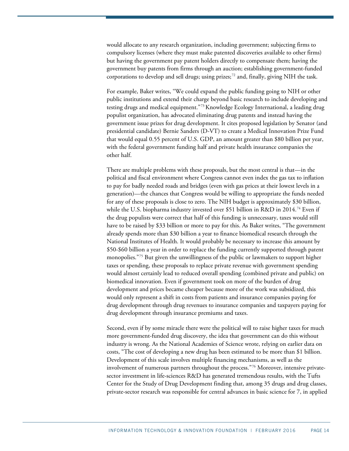would allocate to any research organization, including government; subjecting firms to compulsory licenses (where they must make patented discoveries available to other firms) but having the government pay patent holders directly to compensate them; having the government buy patents from firms through an auction; establishing government-funded corporations to develop and sell drugs; using prizes; $^{72}$  $^{72}$  $^{72}$  and, finally, giving NIH the task.

For example, Baker writes, "We could expand the public funding going to NIH or other public institutions and extend their charge beyond basic research to include developing and testing drugs and medical equipment."<sup>[73](#page-22-0)</sup> Knowledge Ecology International, a leading drug populist organization, has advocated eliminating drug patents and instead having the government issue prizes for drug development. It cites proposed legislation by Senator (and presidential candidate) Bernie Sanders (D-VT) to create a Medical Innovation Prize Fund that would equal 0.55 percent of U.S. GDP, an amount greater than \$80 billion per year, with the federal government funding half and private health insurance companies the other half.

There are multiple problems with these proposals, but the most central is that—in the political and fiscal environment where Congress cannot even index the gas tax to inflation to pay for badly needed roads and bridges (even with gas prices at their lowest levels in a generation)—the chances that Congress would be willing to appropriate the funds needed for any of these proposals is close to zero. The NIH budget is approximately \$30 billion, while the U.S. biopharma industry invested over \$51 billion in R&D in 2014. [74](#page-22-1) Even if the drug populists were correct that half of this funding is unnecessary, taxes would still have to be raised by \$33 billion or more to pay for this. As Baker writes, "The government already spends more than \$30 billion a year to finance biomedical research through the National Institutes of Health. It would probably be necessary to increase this amount by \$50-\$60 billion a year in order to replace the funding currently supported through patent monopolies.<sup>"[75](#page-22-2)</sup> But given the unwillingness of the public or lawmakers to support higher taxes or spending, these proposals to replace private revenue with government spending would almost certainly lead to reduced overall spending (combined private and public) on biomedical innovation. Even if government took on more of the burden of drug development and prices became cheaper because more of the work was subsidized, this would only represent a shift in costs from patients and insurance companies paying for drug development through drug revenues to insurance companies and taxpayers paying for drug development through insurance premiums and taxes.

Second, even if by some miracle there were the political will to raise higher taxes for much more government-funded drug discovery, the idea that government can do this without industry is wrong. As the National Academies of Science wrote, relying on earlier data on costs, "The cost of developing a new drug has been estimated to be more than \$1 billion. Development of this scale involves multiple financing mechanisms, as well as the involvement of numerous partners throughout the process."[76](#page-22-3) Moreover, intensive privatesector investment in life-sciences R&D has generated tremendous results, with the Tufts Center for the Study of Drug Development finding that, among 35 drugs and drug classes, private-sector research was responsible for central advances in basic science for 7, in applied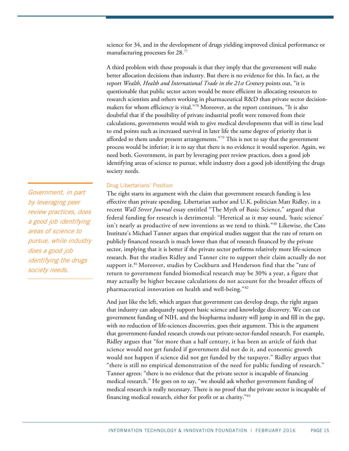science for 34, and in the development of drugs yielding improved clinical performance or manufacturing processes for 28.[77](#page-22-4)

A third problem with these proposals is that they imply that the government will make better allocation decisions than industry. But there is no evidence for this. In fact, as the report *Wealth, Health and International Trade in the 21st Century* points out, "it is questionable that public sector actors would be more efficient in allocating resources to research scientists and others working in pharmaceutical R&D than private sector decisionmakers for whom efficiency is vital.["78](#page-22-5) Moreover, as the report continues, "It is also doubtful that if the possibility of private industrial profit were removed from their calculations, governments would wish to give medical developments that will in time lead to end points such as increased survival in later life the same degree of priority that is afforded to them under present arrangements."<sup>[79](#page-22-6)</sup> This is not to say that the government process would be inferior; it is to say that there is no evidence it would superior. Again, we need both. Government, in part by leveraging peer review practices, does a good job identifying areas of science to pursue, while industry does a good job identifying the drugs society needs.

#### Drug Libertarians' Position

The right starts its argument with the claim that government research funding is less effective than private spending. Libertarian author and U.K. politician Matt Ridley, in a recent *Wall Street Journal* essay entitled ["The Myth of Basic Science,](http://www.wsj.com/articles/the-myth-of-basic-science-1445613954)" argued that federal funding for research is detrimental: "Heretical as it may sound, 'basic science' isn't nearly as productive of new inventions as we tend to think."<sup>[80](#page-22-7)</sup> Likewise, the Cato Institute's Michael Tanner argues that empirical studies suggest that the rate of return on publicly financed research is much lower than that of research financed by the private sector, implying that it is better if the private sector performs relatively more life-sciences research. But the studies Ridley and Tanner cite to support their claim actually do not support it.<sup>[81](#page-22-8)</sup> Moreover, studies by Cockburn and Henderson find that the "rate of return to government funded biomedical research may be 30% a year, a figure that may actually be higher because calculations do not account for the broader effects of pharmaceutical innovation on health and well-being." [82](#page-22-9)

And just like the left, which argues that government can develop drugs, the right argues that industry can adequately support basic science and knowledge discovery. We can cut government funding of NIH, and the biopharma industry will jump in and fill in the gap, with no reduction of life-sciences discoveries, goes their argument. This is the argument that government-funded research crowds out private-sector-funded research. For example, Ridley argues that "for more than a half century, it has been an article of faith that science would not get funded if government did not do it, and economic growth would not happen if science did not get funded by the taxpayer." Ridley argues that "there is still no empirical demonstration of the need for public funding of research." Tanner agrees: "there is no evidence that the private sector is incapable of financing medical research." He goes on to say, "we should ask whether government funding of medical research is really necessary. There is no proof that the private sector is incapable of financing medical research, either for profit or as charity."[83](#page-22-10)

Government, in part by leveraging peer review practices, does a good job identifying areas of science to pursue, while industry does a good job identifying the drugs society needs.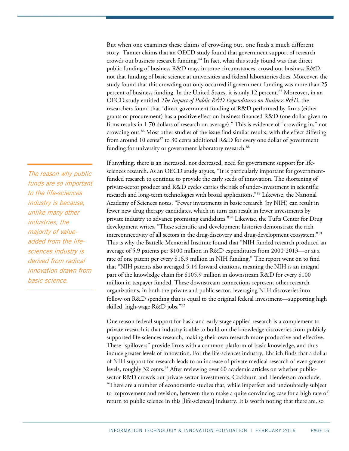But when one examines these claims of crowding out, one finds a much different story. Tanner claims that an OECD study found that government support of research crowds out business research funding.<sup>[84](#page-22-11)</sup> In fact, what this study found was that direct public funding of business R&D may, in some circumstances, crowd out business R&D, not that funding of basic science at universities and federal laboratories does. Moreover, the study found that this crowding out only occurred if government funding was more than 25 percent of business funding. In the United States, it is only 12 percent.<sup>[85](#page-22-12)</sup> Moreover, in an OECD study entitled *The Impact of Public R&D Expenditures on Business R&D*, the researchers found that "direct government funding of R&D performed by firms (either grants or procurement) has a positive effect on business financed R&D (one dollar given to firms results in 1.70 dollars of research on average)." This is evidence of "crowding in," not crowding out.<sup>[86](#page-22-13)</sup> Most other studies of the issue find similar results, with the effect differing from around 10 cents<sup>[87](#page-22-14)</sup> to 30 cents additional R&D for every one dollar of government funding for university or government laboratory research.<sup>[88](#page-22-15)</sup>

If anything, there is an increased, not decreased, need for government support for lifesciences research. As an OECD study argues, "It is particularly important for governmentfunded research to continue to provide the early seeds of innovation. The shortening of private-sector product and R&D cycles carries the risk of under-investment in scientific research and long-term technologies with broad applications."[89](#page-22-16) Likewise, the National Academy of Sciences notes, "Fewer investments in basic research (by NIH) can result in fewer new drug therapy candidates, which in turn can result in fewer investments by private industry to advance promising candidates."[90](#page-22-17) Likewise, the Tufts Center for Drug development writes, "These scientific and development histories demonstrate the rich interconnectivity of all sectors in the drug-discovery and drug-development ecosystem."[91](#page-22-18) This is why the Battelle Memorial Institute found that "NIH funded research produced an average of 5.9 patents per \$100 million in R&D expenditures from 2000-2013—or at a rate of one patent per every \$16.9 million in NIH funding." The report went on to find that "NIH patents also averaged 5.14 forward citations, meaning the NIH is an integral part of the knowledge chain for \$105.9 million in downstream R&D for every \$100 million in taxpayer funded. These downstream connections represent other research organizations, in both the private and public sector, leveraging NIH discoveries into follow-on R&D spending that is equal to the original federal investment—supporting high skilled, high-wage R&D jobs."[92](#page-22-19)

One reason federal support for basic and early-stage applied research is a complement to private research is that industry is able to build on the knowledge discoveries from publicly supported life-sciences research, making their own research more productive and effective. These "spillovers" provide firms with a common platform of basic knowledge, and thus induce greater levels of innovation. For the life-sciences industry, Ehrlich finds that a dollar of NIH support for research leads to an increase of private medical research of even greater levels, roughly 32 cents.<sup>[93](#page-22-20)</sup> After reviewing over 60 academic articles on whether publicsector R&D crowds out private-sector investments, Cockburn and Henderson conclude, "There are a number of econometric studies that, while imperfect and undoubtedly subject to improvement and revision, between them make a quite convincing case for a high rate of return to public science in this [life-sciences] industry. It is worth noting that there are, so

The reason why public funds are so important to the life-sciences industry is because, unlike many other industries, the majority of valueadded from the lifesciences industry is derived from radical innovation drawn from basic science.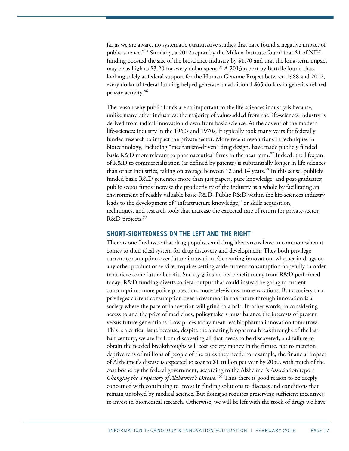far as we are aware, no systematic quantitative studies that have found a negative impact of public science."[94](#page-22-21) Similarly, a 2012 report by the Milken Institute found that \$1 of NIH funding boosted the size of the bioscience industry by \$1.70 and that the long-term impact may be as high as \$3.20 for every dollar spent.<sup>[95](#page-22-22)</sup> A 2013 report by Battelle found that, looking solely at federal support for the Human Genome Project between 1988 and 2012, every dollar of federal funding helped generate an additional \$65 dollars in genetics-related private activity.[96](#page-22-23)

The reason why public funds are so important to the life-sciences industry is because, unlike many other industries, the majority of value-added from the life-sciences industry is derived from radical innovation drawn from basic science. At the advent of the modern life-sciences industry in the 1960s and 1970s, it typically took many years for federally funded research to impact the private sector. More recent revolutions in techniques in biotechnology, including "mechanism-driven" drug design, have made publicly funded basic R&D more relevant to pharmaceutical firms in the near term.<sup>[97](#page-23-0)</sup> Indeed, the lifespan of R&D to commercialization (as defined by patents) is substantially longer in life sciences than other industries, taking on average between 12 and 14 years.<sup>[98](#page-23-1)</sup> In this sense, publicly funded basic R&D generates more than just papers, pure knowledge, and post-graduates; public sector funds increase the productivity of the industry as a whole by facilitating an environment of readily valuable basic R&D. Public R&D within the life-sciences industry leads to the development of "infrastructure knowledge," or skills acquisition, techniques, and research tools that increase the expected rate of return for private-sector R&D projects.<sup>[99](#page-23-2)</sup>

### **SHORT-SIGHTEDNESS ON THE LEFT AND THE RIGHT**

There is one final issue that drug populists and drug libertarians have in common when it comes to their ideal system for drug discovery and development: They both privilege current consumption over future innovation. Generating innovation, whether in drugs or any other product or service, requires setting aside current consumption hopefully in order to achieve some future benefit. Society gains no net benefit today from R&D performed today. R&D funding diverts societal output that could instead be going to current consumption: more police protection, more televisions, more vacations. But a society that privileges current consumption over investment in the future through innovation is a society where the pace of innovation will grind to a halt. In other words, in considering access to and the price of medicines, policymakers must balance the interests of present versus future generations. Low prices today mean less biopharma innovation tomorrow. This is a critical issue because, despite the amazing biopharma breakthroughs of the last half century, we are far from discovering all that needs to be discovered, and failure to obtain the needed breakthroughs will cost society money in the future, not to mention deprive tens of millions of people of the cures they need. For example, the financial impact of Alzheimer's disease is expected to soar to \$1 trillion per year by 2050, with much of the cost borne by the federal government, according to the Alzheimer's Association report *Changing the Trajectory of Alzheimer's Disease*. [100](#page-23-3) Thus there is good reason to be deeply concerned with continuing to invest in finding solutions to diseases and conditions that remain unsolved by medical science. But doing so requires preserving sufficient incentives to invest in biomedical research. Otherwise, we will be left with the stock of drugs we have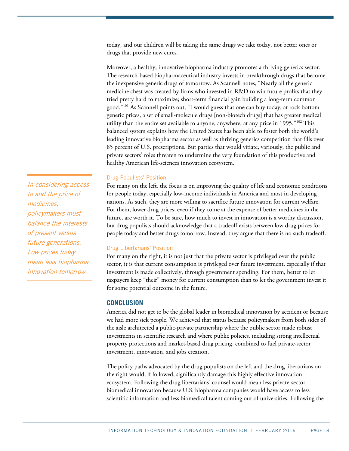today, and our children will be taking the same drugs we take today, not better ones or drugs that provide new cures.

Moreover, a healthy, innovative biopharma industry promotes a thriving generics sector. The research-based biopharmaceutical industry invests in breakthrough drugs that become the inexpensive generic drugs of tomorrow. As Scannell notes, "Nearly all the generic medicine chest was created by firms who invested in R&D to win future profits that they tried pretty hard to maximize; short-term financial gain building a long-term common good."[101](#page-23-4) As Scannell points out, "I would guess that one can buy today, at rock bottom generic prices, a set of small-molecule drugs [non-biotech drugs] that has greater medical utility than the entire set available to anyone, anywhere, at any price in 1995."[102](#page-23-5) This balanced system explains how the United States has been able to foster both the world's leading innovative biopharma sector as well as thriving generics competition that fills over 85 percent of U.S. prescriptions. But parties that would vitiate, variously, the public and private sectors' roles threaten to undermine the very foundation of this productive and healthy American life-sciences innovation ecosystem.

#### Drug Populists' Position

For many on the left, the focus is on improving the quality of life and economic conditions for people today, especially low-income individuals in America and most in developing nations. As such, they are more willing to sacrifice future innovation for current welfare. For them, lower drug prices, even if they come at the expense of better medicines in the future, are worth it. To be sure, how much to invest in innovation is a worthy discussion, but drug populists should acknowledge that a tradeoff exists between low drug prices for people today and better drugs tomorrow. Instead, they argue that there is no such tradeoff.

#### Drug Libertarians' Position

For many on the right, it is not just that the private sector is privileged over the public sector, it is that current consumption is privileged over future investment, especially if that investment is made collectively, through government spending. For them, better to let taxpayers keep "their" money for current consumption than to let the government invest it for some potential outcome in the future.

## **CONCLUSION**

America did not get to be the global leader in biomedical innovation by accident or because we had more sick people. We achieved that status because policymakers from both sides of the aisle architected a public-private partnership where the public sector made robust investments in scientific research and where public policies, including strong intellectual property protections and market-based drug pricing, combined to fuel private-sector investment, innovation, and jobs creation.

The policy paths advocated by the drug populists on the left and the drug libertarians on the right would, if followed, significantly damage this highly effective innovation ecosystem. Following the drug libertarians' counsel would mean less private-sector biomedical innovation because U.S. biopharma companies would have access to less scientific information and less biomedical talent coming out of universities. Following the

In considering access to and the price of medicines, policymakers must balance the interests of present versus future generations. Low prices today mean less biopharma innovation tomorrow.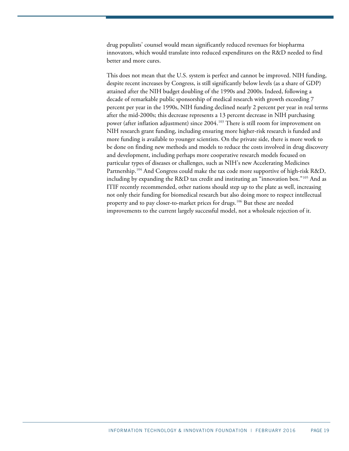drug populists' counsel would mean significantly reduced revenues for biopharma innovators, which would translate into reduced expenditures on the R&D needed to find better and more cures.

This does not mean that the U.S. system is perfect and cannot be improved. NIH funding, despite recent increases by Congress, is still significantly below levels (as a share of GDP) attained after the NIH budget doubling of the 1990s and 2000s. Indeed, following a decade of remarkable public sponsorship of medical research with growth exceeding 7 percent per year in the 1990s, NIH funding declined nearly 2 percent per year in real terms after the mid-2000s; this decrease represents a 13 percent decrease in NIH purchasing power (after inflation adjustment) since 2004.<sup>[103](#page-23-6)</sup> There is still room for improvement on NIH research grant funding, including ensuring more higher-risk research is funded and more funding is available to younger scientists. On the private side, there is more work to be done on finding new methods and models to reduce the costs involved in drug discovery and development, including perhaps more cooperative research models focused on particular types of diseases or challenges, such as NIH's new Accelerating Medicines Partnership.<sup>[104](#page-23-7)</sup> And Congress could make the tax code more supportive of high-risk R&D, including by expanding the R&D tax credit and instituting an "innovation box."[105](#page-23-8) And as ITIF recently recommended, other nations should step up to the plate as well, increasing not only their funding for biomedical research but also doing more to respect intellectual property and to pay closer-to-market prices for drugs.<sup>[106](#page-23-9)</sup> But these are needed improvements to the current largely successful model, not a wholesale rejection of it.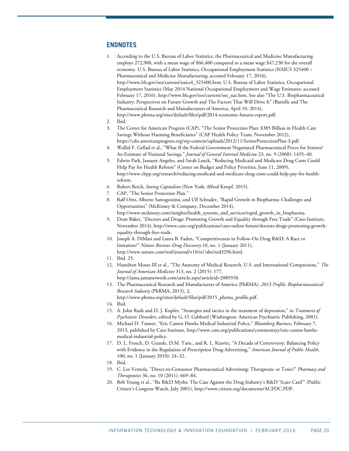## <span id="page-19-0"></span>**ENDNOTES**

- 1. According to the U.S. Bureau of Labor Statistics, the Pharmaceutical and Medicine Manufacturing employs 272,900, with a mean wage of \$66,400 compared to a mean wage \$47,230 for the overall economy. U.S. Bureau of Labor Statistics, Occupational Employment Statistics (NAICS 325400 – Pharmaceutical and Medicine Manufacturing; accessed February 17, 2016), [http://www.bls.gov/oes/current/naics4\\_325400.htm;](http://www.bls.gov/oes/current/naics4_325400.htm) U.S. Bureau of Labor Statistics, Occupational Employment Statistics (May 2014 National Occupational Employment and Wage Estimates; accessed February 17, 2016)[, http://www.bls.gov/oes/current/oes\\_nat.htm.](http://www.bls.gov/oes/current/oes_nat.htm) See also "The U.S. Biopharmaceutical Industry: Perspectives on Future Growth and The Factors That Will Drive It" (Battelle and The Pharmaceutical Research and Manufacturers of America, April 10, 2014), http://www.phrma.org/sites/default/files/pdf/2014-economic-futures-report.pdf.
- <span id="page-19-1"></span>2. Ibid.
- <span id="page-19-2"></span>3. The Center for American Progress (CAP), "The Senior Protection Plan: \$385 Billion in Health Care Savings Without Harming Beneficiaries" (CAP Health Policy Team, November 2012), [https://cdn.americanprogress.org/wp-content/uploads/2012/11/SeniorProtectionPlan-3.pdf.](https://cdn.americanprogress.org/wp-content/uploads/2012/11/SeniorProtectionPlan-3.pdf)
- <span id="page-19-3"></span>4. Wallid F. Gellad et al., "What If the Federal Government Negotiated Pharmaceutical Prices for Seniors? An Estimate of National Savings," *Journal of General Internal Medicine* 23, no. 9 (2008): 1435–40.
- <span id="page-19-4"></span>5. Edwin Park, January Angeles, and Sarah Lueck, "Reducing Medicaid and Medicare Drug Costs Could Help Pay for Health Reform" (Center on Budget and Policy Priorities, June 11, 2009), http://www.cbpp.org/research/reducing-medicaid-and-medicare-drug-costs-could-help-pay-for-healthreform.
- <span id="page-19-5"></span>6. Robert Reich, *Saving Capitalism* (New York: Alfred Knopf, 2015).
- <span id="page-19-6"></span>7. CAP, "The Senior Protection Plan."
- <span id="page-19-8"></span><span id="page-19-7"></span>8. Ralf Otto, Alberto Santagostino, and Ulf Schrader, "Rapid Growth in Biopharma: Challenges and Opportunities" (McKinsey & Company, December 2014), [http://www.mckinsey.com/insights/health\\_systems\\_and\\_services/rapid\\_growth\\_in\\_biopharma.](http://www.mckinsey.com/insights/health_systems_and_services/rapid_growth_in_biopharma)

9. Dean Baker, "Doctors and Drugs: Promoting Growth and Equality through Free Trade" (Cato Institute, November 2014), [http://www.cato.org/publications/cato-online-forum/doctors-drugs-promoting-growth-](http://www.cato.org/publications/cato-online-forum/doctors-drugs-promoting-growth-equality-through-free-trade)

[equality-through-free-trade.](http://www.cato.org/publications/cato-online-forum/doctors-drugs-promoting-growth-equality-through-free-trade) 

- <span id="page-19-9"></span>10. Joseph A. DiMasi and Laura B. Faden, "Competitiveness in Follow-On Drug R&D: A Race or Imitation?" *Nature Reviews Drug Discovery* 10, no. 1 (January 2011), [http://www.nature.com/nrd/journal/v10/n1/abs/nrd3296.html.](http://www.nature.com/nrd/journal/v10/n1/abs/nrd3296.html)
- <span id="page-19-10"></span>11. Ibid. 25.
- <span id="page-19-11"></span>12. Hamilton Moses III et al., "The Anatomy of Medical Research: U.S. and International Comparisons," *The Journal of American Medicine* 313, no. 2 (2015): 177, http://jama.jamanetwork.com/article.aspx?articleid=2089358.
- <span id="page-19-12"></span>13. The Pharmaceutical Research and Manufacturers of America (PhRMA), *2015 Profile: Biopharmaceutical Research Industry* (PhRMA, 2015), 2, http://www.phrma.org/sites/default/files/pdf/2015\_phrma\_profile.pdf.
- <span id="page-19-14"></span><span id="page-19-13"></span>14. Ibid.
- 15. A. John Rush and D. J. Kupfer, "Strategies and tactics in the treatment of depression," in *Treatment of Psychiatric Disorders*, edited by G. O. Gabbard (Washington: American Psychiatric Publishing, 2001).
- <span id="page-19-15"></span>16. Michael D. Tanner, "Eric Cantor Hawks Medical Industrial Policy," *Bloomberg Business*, February 7, 2013, published by Cato Institute, http://www.cato.org/publications/commentary/eric-cantor-hawksmedical-industrial-policy.
- <span id="page-19-16"></span>17. D. L. Frosch, D. Grande, D.M. Tarn., and R. L. Kravitz, "A Decade of Controversy: Balancing Policy with Evidence in the Regulation of Prescription Drug Advertising," *American Journal of Public Health*, 100, no. 1 (January 2010): 24–32.
- <span id="page-19-18"></span><span id="page-19-17"></span>18. Ibid.
- 19. C. Lee Ventola, "Direct-to-Consumer Pharmaceutical Advertising: Therapeutic or Toxic?" *Pharmacy and Therapeutics* 36, no. 10 (2011): 669–84.
- <span id="page-19-19"></span>20. Bob Young et al., "Rx R&D Myths: The Case Against the Drug Industry's R&D 'Scare Card'" (Public Citizen's Congress Watch, July 2001), http://www.citizen.org/documents/ACFDC.PDF.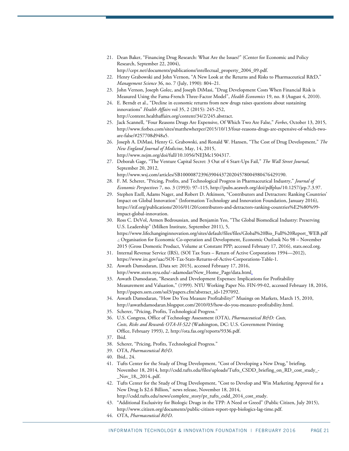<span id="page-20-0"></span>21. Dean Baker, "Financing Drug Research: What Are the Issues?" (Center for Economic and Policy Research, September 22, 2004),

http://cepr.net/documents/publications/intellectual\_property\_2004\_09.pdf.

- <span id="page-20-1"></span>22. Henry Grabowski and John Vernon, "A New Look at the Returns and Risks to Pharmaceutical R&D," *Management Science* 36, no. 7 (July, 1990): 804–21.
- <span id="page-20-2"></span>23. John Vernon, Joseph Golec, and Joseph DiMasi, "Drug Development Costs When Financial Risk is Measured Using the Fama-French Three-Factor Model", *Health Economics* 19, no. 8 (August 4, 2010).
- <span id="page-20-3"></span>24. E. Berndt et al., "Decline in economic returns from new drugs raises questions about sustaining innovations" *Health Affairs* vol 35, 2 (2015): 245-252, http://content.healthaffairs.org/content/34/2/245.abstract.
- <span id="page-20-4"></span>25. Jack Scannell, "Four Reasons Drugs Are Expensive, Of Which Two Are False," *Forbes*, October 13, 2015, http://www.forbes.com/sites/matthewherper/2015/10/13/four-reasons-drugs-are-expensive-of-which-twoare-false/#257708d948a5.
- <span id="page-20-5"></span>26. Joseph A. DiMasi, Henry G. Grabowski, and Ronald W. Hansen, "The Cost of Drug Development," *The New England Journal of Medicine*, May, 14, 2015, http://www.nejm.org/doi/full/10.1056/NEJMc1504317.
- <span id="page-20-6"></span>27. Deborah Gage, "The Venture Capital Secret: 3 Out of 4 Start-Ups Fail," *The Wall Street Journal*, September 20, 2012,

[http://www.wsj.com/articles/SB10000872396390443720204578004980476429190.](http://www.wsj.com/articles/SB10000872396390443720204578004980476429190)

- <span id="page-20-7"></span>28. F. M. Scherer, "Pricing, Profits, and Technological Progress in Pharmaceutical Industry," *Journal of Economic Perspectives* 7, no. 3 (1993): 97–115, [http://pubs.aeaweb.org/doi/pdfplus/10.1257/jep.7.3.97.](http://pubs.aeaweb.org/doi/pdfplus/10.1257/jep.7.3.97)
- <span id="page-20-8"></span>29. Stephen Ezell, Adams Nager, and Robert D. Atkinson, "Contributors and Detractors: Ranking Countries' Impact on Global Innovation" (Information Technology and Innovation Foundation, January 2016), https://itif.org/publications/2016/01/20/contributors-and-detractors-ranking-countries%E2%80%99 impact-global-innovation.
- <span id="page-20-9"></span>30. Ross C. DeVol, Armen Bedroussian, and Benjamin Yeo, "The Global Biomedical Industry: Preserving U.S. Leadership" (Milken Institute, September 2011), 5, [https://www.lifechanginginnovation.org/sites/default/files/files/Global%20Bio\\_Full%20Report\\_WEB.pdf](https://www.lifechanginginnovation.org/sites/default/files/files/Global%20Bio_Full%20Report_WEB.pdf) .; Organisation for Economic Co-operation and Development, Economic Outlook No 98 – November 2015 (Gross Domestic Product, Volume at Constant PPP; accessed February 17, 2016), stats.oecd.org.
- <span id="page-20-10"></span>31. Internal Revenue Service (IRS), (SOI Tax Stats – Return of Active Corporations 1994—2012), https://www.irs.gov/uac/SOI-Tax-Stats-Returns-of-Active-Corporations-Table-1.
- <span id="page-20-11"></span>32. Aswath Damodaran, {Data set: 2015}, accessed February 17, 2016, [http://www.stern.nyu.edu/~adamodar/New\\_Home\\_Page/data.html.](http://www.stern.nyu.edu/%7Eadamodar/New_Home_Page/data.html)
- <span id="page-20-12"></span>33. Aswath Damodaran, "Research and Development Expenses: Implications for Profitability Measurement and Valuation," (1999). NYU Working Paper No. FIN-99-02, accessed February 18, 2016, [http://papers.ssrn.com/sol3/papers.cfm?abstract\\_id=1297092.](http://papers.ssrn.com/sol3/papers.cfm?abstract_id=1297092)
- <span id="page-20-13"></span>34. Aswath Damodaran, "How Do You Measure Profitability?" Musings on Markets, March 15, 2010, [http://aswathdamodaran.blogspot.com/2010/03/how-do-you-measure-profitability.html.](http://aswathdamodaran.blogspot.com/2010/03/how-do-you-measure-profitability.html)
- <span id="page-20-14"></span>35. Scherer, "Pricing, Profits, Technological Progress."
- <span id="page-20-15"></span>36. U.S. Congress, Office of Technology Assessment (OTA), *Pharmaceutical R&D: Costs, Costs, Risks and Rewards OTA-H-522* (Washington, DC: U.S. Government Printing Office, February 1993), 2[, http://ota.fas.org/reports/9336.pdf.](http://ota.fas.org/reports/9336.pdf)
- <span id="page-20-16"></span>37. Ibid.
- <span id="page-20-17"></span>38. Scherer, "Pricing, Profits, Technological Progress."
- 39. OTA, *Pharmaceutical R&D*.
- <span id="page-20-20"></span><span id="page-20-19"></span><span id="page-20-18"></span>40. Ibid., 24.
- 41. Tufts Center for the Study of Drug Development, "Cost of Developing a New Drug," briefing, November 18, 2014, [http://csdd.tufts.edu/files/uploads/Tufts\\_CSDD\\_briefing\\_on\\_RD\\_cost\\_study\\_-](http://csdd.tufts.edu/files/uploads/Tufts_CSDD_briefing_on_RD_cost_study_-_Nov_18,_2014..pdf) [\\_Nov\\_18,\\_2014..pdf.](http://csdd.tufts.edu/files/uploads/Tufts_CSDD_briefing_on_RD_cost_study_-_Nov_18,_2014..pdf)
- <span id="page-20-21"></span>42. Tufts Center for the Study of Drug Development, "Cost to Develop and Win Marketing Approval for a New Drug Is \$2.6 Billion," news release, November 18, 2014, http://csdd.tufts.edu/news/complete\_story/pr\_tufts\_csdd\_2014\_cost\_study.
- <span id="page-20-22"></span>43. "Additional Exclusivity for Biologic Drugs in the TPP: A Need or Greed" (Public Citizen, July 2015), http://www.citizen.org/documents/public-citizen-report-tpp-biologics-lag-time.pdf.
- <span id="page-20-23"></span>44. OTA, *Pharmaceutical R&D*.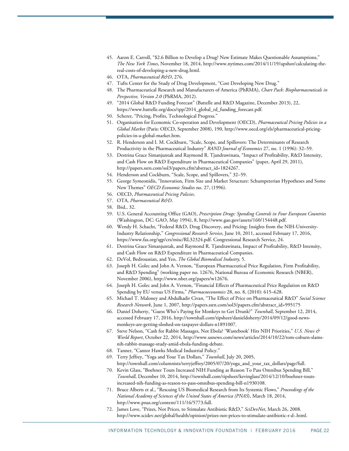- <span id="page-21-0"></span>45. Aaron E. Carroll, "\$2.6 Billion to Develop a Drug? New Estimate Makes Questionable Assumptions," *The New York Times*, November 18, 2014, http://www.nytimes.com/2014/11/19/upshot/calculating-thereal-costs-of-developing-a-new-drug.html.
- <span id="page-21-1"></span>46. OTA, *Pharmaceutical R&D*, 276.
- 47. Tufts Center for the Study of Drug Development, "Cost Developing New Drug."
- <span id="page-21-3"></span><span id="page-21-2"></span>48. The Pharmaceutical Research and Manufacturers of America (PhRMA), *Chart Pack: Biopharmaceuticals in Perspective, Version 2.0* (PhRMA, 2012).
- <span id="page-21-4"></span>49. "2014 Global R&D Funding Forecast" (Battelle and R&D Magazine, December 2013), 22, [https://www.battelle.org/docs/tpp/2014\\_global\\_rd\\_funding\\_forecast.pdf.](https://www.battelle.org/docs/tpp/2014_global_rd_funding_forecast.pdf)
- <span id="page-21-5"></span>50. Scherer, "Pricing, Profits, Technological Progress."
- <span id="page-21-6"></span>51. Organisation for Economic Co-operation and Development (OECD), *Pharmaceutical Pricing Policies in a Global Market* (Paris: OECD, September 2008), 190, http://www.oecd.org/els/pharmaceutical-pricingpolicies-in-a-global-market.htm.
- <span id="page-21-7"></span>52. R. Henderson and I. M. Cockburn, "Scale, Scope, and Spillovers: The Determinants of Research Productivity in the Pharmaceutical Industry" *RAND Journal of Economics* 27, no. 1 (1996): 32–59.
- <span id="page-21-8"></span>53. Destrina Grace Simanjuntak and Raymond R. Tjandrawinata, "Impact of Profitability, R&D Intensity, and Cash Flow on R&D Expenditure in Pharmaceutical Companies" (paper, April 29, 2011), [http://papers.ssrn.com/sol3/papers.cfm?abstract\\_id=1824267.](http://papers.ssrn.com/sol3/papers.cfm?abstract_id=1824267)
- <span id="page-21-9"></span>54. Henderson and Cockburn, "Scale, Scope, and Spillovers," 32–59.
- <span id="page-21-10"></span>55. George Symeonidis, "Innovation, Firm Size and Market Structure: Schumpeterian Hypotheses and Some New Themes" *OECD Economic Studies* no. 27, (1996).
- <span id="page-21-11"></span>56. OECD, *Pharmaceutical Pricing Policies*.
- <span id="page-21-12"></span>57. OTA*, Pharmaceutical R&D*.
- <span id="page-21-13"></span>58. Ibid., 32.
- <span id="page-21-14"></span>59. U.S. General Accounting Office (GAO), *Prescription Drugs: Spending Controls in Four European Countries* (Washington, DC: GAO, May 1994), 8, http://www.gao.gov/assets/160/154448.pdf.
- <span id="page-21-15"></span>60. Wendy H. Schacht, "Federal R&D, Drug Discovery, and Pricing: Insights from the NIH-University-Industry Relationship," *Congressional Research Service*, June 10, 2011, accessed February 17, 2016, https://www.fas.org/sgp/crs/misc/RL32324.pdf. Congressional Research Service, 24.
- <span id="page-21-16"></span>61. Destrina Grace Simanjuntak, and Raymond R. Tjandrawinata, Impact of Profitability, R&D Intensity, and Cash Flow on R&D Expenditure in Pharmaceutical Companies.
- <span id="page-21-17"></span>62. DeVol, Bedroussian, and Yeo, *The Global Biomedical Industry,* 5.
- <span id="page-21-18"></span>63. Joseph H. Golec and John A. Vernon, "European Pharmaceutical Price Regulation, Firm Profitability, and R&D Spending" (working paper no. 12676, National Bureau of Economic Research (NBER), November 2006), http://www.nber.org/papers/w12676.
- <span id="page-21-19"></span>64. Joseph H. Golec and John A. Vernon, "Financial Effects of Pharmaceutical Price Regulation on R&D Spending by EU versus US Firms," *Pharmacoeconomics* 28, no. 8, (2010): 615–628.
- <span id="page-21-20"></span>65. Michael T. Maloney and Abdulkadir Civan, "The Effect of Price on Pharmaceutical R&D" *Social Science Research Network*, June 1, 2007, http://papers.ssrn.com/sol3/papers.cfm?abstract\_id=995175
- <span id="page-21-21"></span>66. Daniel Doherty, "Guess Who's Paying for Monkeys to Get Drunk?" *Townhall*, September 12, 2014, accessed February 17, 2016, http://townhall.com/tipsheet/danieldoherty/2014/09/12/good-newsmonkeys-are-getting-sloshed-on-taxpayer-dollars-n1891007.
- <span id="page-21-22"></span>67. Steve Nelson, "Cash for Rabbit Massages, Not Ebola? 'Wastebook' Hits NIH Priorities," *U.S. News & World Report*, October 22, 2014, http://www.usnews.com/news/articles/2014/10/22/tom-coburn-slamsnih-rabbit-massage-study-amid-ebola-funding-debate.
- <span id="page-21-23"></span>68. Tanner, "Cantor Hawks Medical Industrial Policy."
- <span id="page-21-24"></span>69. Terry Jeffrey, "Yoga and Your Tax Dollars," *Townhall*, July 20, 2005, http://townhall.com/columnists/terryjeffrey/2005/07/20/yoga\_and\_your\_tax\_dollars/page/full.
- <span id="page-21-25"></span>70. Kevin Glass, "Boehner Touts Increased NIH Funding as Reason To Pass Omnibus Spending Bill," *Townhall*, December 10, 2014, http://townhall.com/tipsheet/kevinglass/2014/12/10/boehner-toutsincreased-nih-funding-as-reason-to-pass-omnibus-spending-bill-n1930108.
- <span id="page-21-26"></span>71. Bruce Alberts et al., "Rescuing US Biomedical Research from Its Systemic Flows," *Proceedings of the National Academy of Sciences of the United States of America (PNAS*), March 18, 2014, http://www.pnas.org/content/111/16/5773.full.
- <span id="page-21-27"></span>72. James Love, "Prizes, Not Prices, to Stimulate Antibiotic R&D," *SciDevNet*, March 26, 2008. http://www.scidev.net/global/health/opinion/prizes-not-prices-to-stimulate-antibiotic-r-d-.html.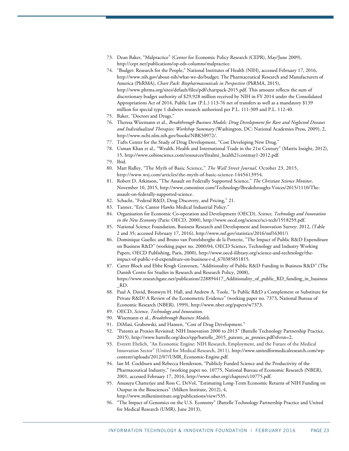- <span id="page-22-0"></span>73. Dean Baker, "Malpractice" (Center for Economic Policy Research (CEPR), May/June 2009), [http://cepr.net/publications/op-eds-columns/malpractice.](http://cepr.net/publications/op-eds-columns/malpractice)
- <span id="page-22-1"></span>74. "Budget: Research for the People," National Institutes of Health (NIH), accessed February 17, 2016, [http://www.nih.gov/about-nih/what-we-do/budget;](http://www.nih.gov/about-nih/what-we-do/budget) The Pharmaceutical Research and Manufacturers of America (PhRMA), *Chart Pack: Biopharmaceuticals in Perspective* (PhRMA, 2015), [http://www.phrma.org/sites/default/files/pdf/chartpack-2015.pdf.](http://www.phrma.org/sites/default/files/pdf/chartpack-2015.pdf) This amount reflects the sum of discretionary budget authority of \$29,928 million received by NIH in FY 2014 under the Consolidated Appropriations Act of 2014, Public Law (P.L.) 113-76 net of transfers as well as a mandatory \$139 million for special type 1 diabetes research authorized per P.L. 111-309 and P.L. 112-40.
- <span id="page-22-3"></span><span id="page-22-2"></span>75. Baker, "Doctors and Drugs."
- 76. Theresa Wizemann et al., *Breakthrough Business Models: Drug Development for Rare and Neglected Diseases and Individualized Therapies: Workshop Summary* (Washington, DC: National Academies Press, 2009), 2, [http://www.ncbi.nlm.nih.gov/books/NBK50972/.](http://www.ncbi.nlm.nih.gov/books/NBK50972/)
- <span id="page-22-5"></span><span id="page-22-4"></span>77. Tufts Center for the Study of Drug Development, "Cost Developing New Drug."
- 78. Usman Khan et al., "Wealth, Health and International Trade in the 21st Century" (Matrix Insight, 2012), 15, http://www.cobioscience.com/resources/finalmi\_health21centmay1-2012.pdf.
- <span id="page-22-7"></span><span id="page-22-6"></span>79. Ibid.
- 80. Matt Ridley, ["The Myth of Basic Science,](http://www.wsj.com/articles/the-myth-of-basic-science-1445613954)" *The Wall Street Journal*, October 23, 2015, [http://www.wsj.com/articles/the-myth-of-basic-science-1445613954.](http://www.wsj.com/articles/the-myth-of-basic-science-1445613954)
- <span id="page-22-8"></span>81. Robert D. Atkinson, "The Assault on Federally Supported Science," *The Christian Science Monitor*, November 10, 2015, http://www.csmonitor.com/Technology/Breakthroughs-Voices/2015/1110/Theassault-on-federally-supported-science.
- <span id="page-22-10"></span><span id="page-22-9"></span>82. Schacht, "Federal R&D, Drug Discovery, and Pricing," 21.
- 83. Tanner, "Eric Cantor Hawks Medical Industrial Policy."
- <span id="page-22-11"></span>84. Organisation for Economic Co-operation and Development (OECD), *Science, Technology and Innovation in the New Economy* (Paris: OECD, 2000), http://www.oecd.org/science/sci-tech/1918259.pdf.
- <span id="page-22-12"></span>85. National Science Foundation, Business Research and Development and Innovation Survey: 2012, (Table 2 and 35; accessed February 17, 2016), http://www.nsf.gov/statistics/2016/nsf16301/)
- <span id="page-22-13"></span>86. Dominique Guellec and Bruno van Pottelsberghe de la Potterie, "The Impact of Public R&D Expenditure on Business R&D" (working paper no. 2000/04, OECD Science, Technology and Industry Working Papers, OECD Publishing, Paris, 2000), http://www.oecd-ilibrary.org/science-and-technology/theimpact-of-public-r-d-expenditure-on-business-r-d\_670385851815.
- <span id="page-22-14"></span>87. Carter Bloch and Ebbe Krogh Graversen, "Additionality of Public R&D Funding in Business R&D" (The Danish Centre for Studies in Research and Research Policy, 2008), https://www.researchgate.net/publication/228894417\_Additionality\_of\_public\_RD\_funding\_in\_business \_RD.
- <span id="page-22-15"></span>88. Paul A. David, Bronwyn H. Hall, and Andrew A. Toole, "Is Public R&D a Complement or Substitute for Private R&D? A Review of the Econometric Evidence" (working paper no. 7373, National Bureau of Economic Research (NBER), 1999), http://www.nber.org/papers/w7373.
- 89. OECD, *Science, Technology and Innovation*.
- 90. Wizemann et al., *Breakthrough Business Models*.
- <span id="page-22-20"></span><span id="page-22-19"></span><span id="page-22-18"></span><span id="page-22-17"></span><span id="page-22-16"></span>91. DiMasi, Grabowski, and Hansen, "Cost of Drug Development."
- 92. "Patents as Proxies Revisited: NIH Innovation 2000 to 2013" (Battelle Technology Partnership Practice, 2015), http://www.battelle.org/docs/tpp/battelle\_2015\_patents\_as\_proxies.pdf?sfvrsn=2.
- 93. Everett Ehrlich, "An Economic Engine: NIH Research, Employment, and the Future of the Medical Innovation Sector" (United for Medical Research, 2011)[, http://www.unitedformedicalresearch.com/wp](http://www.unitedformedicalresearch.com/wp-content/uploads/2012/07/UMR_Economic-Engine.pdf)[content/uploads/2012/07/UMR\\_Economic-Engine.pdf.](http://www.unitedformedicalresearch.com/wp-content/uploads/2012/07/UMR_Economic-Engine.pdf)
- <span id="page-22-21"></span>94. Ian M. Cockburn and Rebecca Henderson, "Publicly Funded Science and the Productivity of the Pharmaceutical Industry," (working paper no. 10775, National Bureau of Economic Research (NBER), 2001, accessed February 17, 2016, http://www.nber.org/chapters/c10775.pdf.
- <span id="page-22-22"></span>95. Anusuya Chatterjee and Ross C. DeVol, "Estimating Long-Term Economic Returns of NIH Funding on Output in the Biosciences" (Milken Institute, 2012), 4, [http://www.milkeninstitute.org/publications/view/535.](http://www.milkeninstitute.org/publications/view/535)
- <span id="page-22-23"></span>96. "The Impact of Genomics on the U.S. Economy" (Battelle Technology Partnership Practice and United for Medical Research (UMR), June 2013),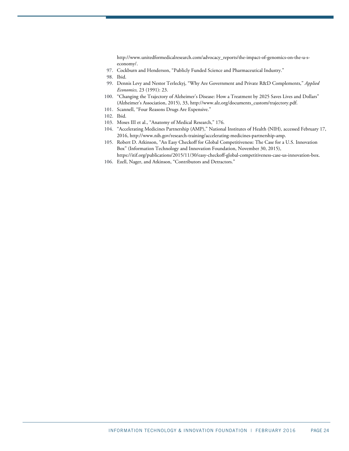http://www.unitedformedicalresearch.com/advocacy\_reports/the-impact-of-genomics-on-the-u-seconomy/.

97. Cockburn and Henderson, "Publicly Funded Science and Pharmaceutical Industry."

- 99. Dennis Levy and Nestor Terleckyj, "Why Are Government and Private R&D Complements," *Applied Economics,* 23 (1991): 23.
- <span id="page-23-3"></span><span id="page-23-2"></span>100. "Changing the Trajectory of Alzheimer's Disease: How a Treatment by 2025 Saves Lives and Dollars" (Alzheimer's Association, 2015), 33[, http://www.alz.org/documents\\_custom/trajectory.pdf.](http://www.alz.org/documents_custom/trajectory.pdf)
- 101. Scannell, "Four Reasons Drugs Are Expensive."
- <span id="page-23-5"></span><span id="page-23-4"></span>102. Ibid.
- <span id="page-23-7"></span><span id="page-23-6"></span>103. Moses III et al., "Anatomy of Medical Research," 176.
- 104. "Accelerating Medicines Partnership (AMP)," National Institutes of Health (NIH), accessed February 17, 2016, http://www.nih.gov/research-training/accelerating-medicines-partnership-amp.
- <span id="page-23-8"></span>105. Robert D. Atkinson, "An Easy Checkoff for Global Competitiveness: The Case for a U.S. Innovation Box" (Information Technology and Innovation Foundation, November 30, 2015),

<span id="page-23-9"></span>[https://itif.org/publications/2015/11/30/easy-checkoff-global-competitiveness-case-us-innovation-box.](https://itif.org/publications/2015/11/30/easy-checkoff-global-competitiveness-case-us-innovation-box) 106. Ezell, Nager, and Atkinson, "Contributors and Detractors."

<span id="page-23-1"></span><span id="page-23-0"></span><sup>98.</sup> Ibid.